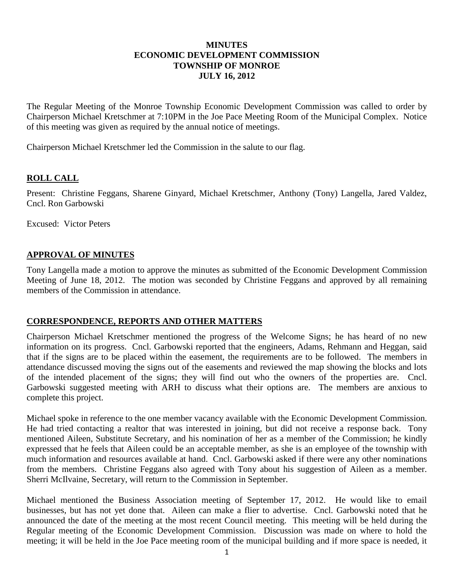### **MINUTES ECONOMIC DEVELOPMENT COMMISSION TOWNSHIP OF MONROE JULY 16, 2012**

The Regular Meeting of the Monroe Township Economic Development Commission was called to order by Chairperson Michael Kretschmer at 7:10PM in the Joe Pace Meeting Room of the Municipal Complex. Notice of this meeting was given as required by the annual notice of meetings.

Chairperson Michael Kretschmer led the Commission in the salute to our flag.

# **ROLL CALL**

Present: Christine Feggans, Sharene Ginyard, Michael Kretschmer, Anthony (Tony) Langella, Jared Valdez, Cncl. Ron Garbowski

Excused: Victor Peters

# **APPROVAL OF MINUTES**

Tony Langella made a motion to approve the minutes as submitted of the Economic Development Commission Meeting of June 18, 2012. The motion was seconded by Christine Feggans and approved by all remaining members of the Commission in attendance.

# **CORRESPONDENCE, REPORTS AND OTHER MATTERS**

Chairperson Michael Kretschmer mentioned the progress of the Welcome Signs; he has heard of no new information on its progress. Cncl. Garbowski reported that the engineers, Adams, Rehmann and Heggan, said that if the signs are to be placed within the easement, the requirements are to be followed. The members in attendance discussed moving the signs out of the easements and reviewed the map showing the blocks and lots of the intended placement of the signs; they will find out who the owners of the properties are. Cncl. Garbowski suggested meeting with ARH to discuss what their options are. The members are anxious to complete this project.

Michael spoke in reference to the one member vacancy available with the Economic Development Commission. He had tried contacting a realtor that was interested in joining, but did not receive a response back. Tony mentioned Aileen, Substitute Secretary, and his nomination of her as a member of the Commission; he kindly expressed that he feels that Aileen could be an acceptable member, as she is an employee of the township with much information and resources available at hand. Cncl. Garbowski asked if there were any other nominations from the members. Christine Feggans also agreed with Tony about his suggestion of Aileen as a member. Sherri McIlvaine, Secretary, will return to the Commission in September.

Michael mentioned the Business Association meeting of September 17, 2012. He would like to email businesses, but has not yet done that. Aileen can make a flier to advertise. Cncl. Garbowski noted that he announced the date of the meeting at the most recent Council meeting. This meeting will be held during the Regular meeting of the Economic Development Commission. Discussion was made on where to hold the meeting; it will be held in the Joe Pace meeting room of the municipal building and if more space is needed, it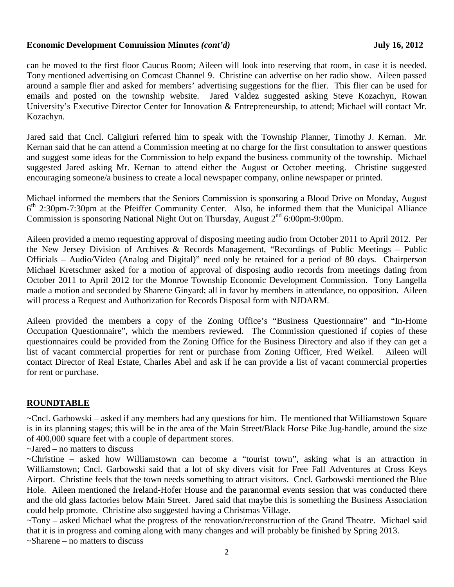#### **Economic Development Commission Minutes** *(cont'd)* **July 16, 2012**

can be moved to the first floor Caucus Room; Aileen will look into reserving that room, in case it is needed. Tony mentioned advertising on Comcast Channel 9. Christine can advertise on her radio show. Aileen passed around a sample flier and asked for members' advertising suggestions for the flier. This flier can be used for emails and posted on the township website. Jared Valdez suggested asking Steve Kozachyn, Rowan University's Executive Director Center for Innovation & Entrepreneurship, to attend; Michael will contact Mr. Kozachyn.

Jared said that Cncl. Caligiuri referred him to speak with the Township Planner, Timothy J. Kernan. Mr. Kernan said that he can attend a Commission meeting at no charge for the first consultation to answer questions and suggest some ideas for the Commission to help expand the business community of the township. Michael suggested Jared asking Mr. Kernan to attend either the August or October meeting. Christine suggested encouraging someone/a business to create a local newspaper company, online newspaper or printed.

Michael informed the members that the Seniors Commission is sponsoring a Blood Drive on Monday, August  $6<sup>th</sup>$  2:30pm-7:30pm at the Pfeiffer Community Center. Also, he informed them that the Municipal Alliance Commission is sponsoring National Night Out on Thursday, August  $2<sup>nd</sup> 6:00pm-9:00pm$ .

Aileen provided a memo requesting approval of disposing meeting audio from October 2011 to April 2012. Per the New Jersey Division of Archives & Records Management, "Recordings of Public Meetings – Public Officials – Audio/Video (Analog and Digital)" need only be retained for a period of 80 days. Chairperson Michael Kretschmer asked for a motion of approval of disposing audio records from meetings dating from October 2011 to April 2012 for the Monroe Township Economic Development Commission. Tony Langella made a motion and seconded by Sharene Ginyard; all in favor by members in attendance, no opposition. Aileen will process a Request and Authorization for Records Disposal form with NJDARM.

Aileen provided the members a copy of the Zoning Office's "Business Questionnaire" and "In-Home Occupation Questionnaire", which the members reviewed. The Commission questioned if copies of these questionnaires could be provided from the Zoning Office for the Business Directory and also if they can get a list of vacant commercial properties for rent or purchase from Zoning Officer, Fred Weikel. Aileen will contact Director of Real Estate, Charles Abel and ask if he can provide a list of vacant commercial properties for rent or purchase.

# **ROUNDTABLE**

~Cncl. Garbowski – asked if any members had any questions for him. He mentioned that Williamstown Square is in its planning stages; this will be in the area of the Main Street/Black Horse Pike Jug-handle, around the size of 400,000 square feet with a couple of department stores.

~Jared – no matters to discuss

~Christine – asked how Williamstown can become a "tourist town", asking what is an attraction in Williamstown; Cncl. Garbowski said that a lot of sky divers visit for Free Fall Adventures at Cross Keys Airport. Christine feels that the town needs something to attract visitors. Cncl. Garbowski mentioned the Blue Hole. Aileen mentioned the Ireland-Hofer House and the paranormal events session that was conducted there and the old glass factories below Main Street. Jared said that maybe this is something the Business Association could help promote. Christine also suggested having a Christmas Village.

~Tony – asked Michael what the progress of the renovation/reconstruction of the Grand Theatre. Michael said that it is in progress and coming along with many changes and will probably be finished by Spring 2013. ~Sharene – no matters to discuss